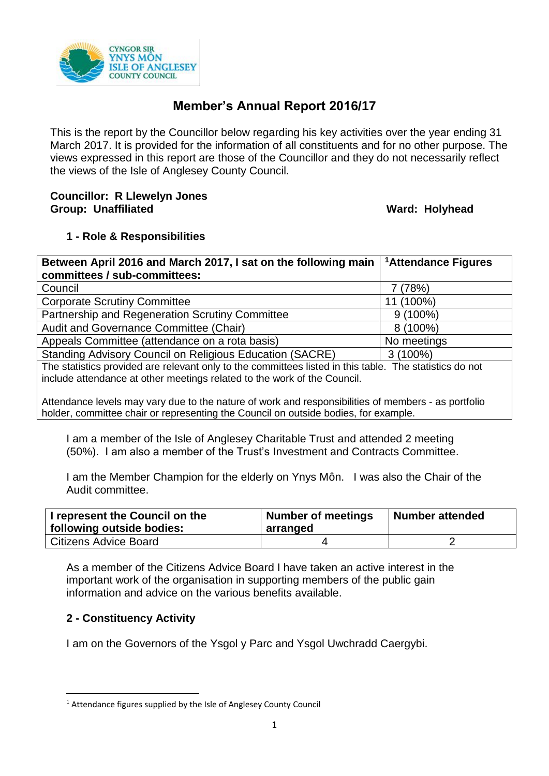

# **Member's Annual Report 2016/17**

This is the report by the Councillor below regarding his key activities over the year ending 31 March 2017. It is provided for the information of all constituents and for no other purpose. The views expressed in this report are those of the Councillor and they do not necessarily reflect the views of the Isle of Anglesey County Council.

#### **Councillor: R Llewelyn Jones Group: Unaffiliated Ward: Holyhead**

### **1 - Role & Responsibilities**

| Between April 2016 and March 2017, I sat on the following main                                                                                                                      | <sup>1</sup> Attendance Figures |  |
|-------------------------------------------------------------------------------------------------------------------------------------------------------------------------------------|---------------------------------|--|
| committees / sub-committees:                                                                                                                                                        |                                 |  |
| Council                                                                                                                                                                             | 7(78%)                          |  |
| <b>Corporate Scrutiny Committee</b>                                                                                                                                                 | 11 (100%)                       |  |
| Partnership and Regeneration Scrutiny Committee                                                                                                                                     | $9(100\%)$                      |  |
| Audit and Governance Committee (Chair)                                                                                                                                              | $8(100\%)$                      |  |
| Appeals Committee (attendance on a rota basis)                                                                                                                                      | No meetings                     |  |
| Standing Advisory Council on Religious Education (SACRE)                                                                                                                            | $3(100\%)$                      |  |
| The statistics provided are relevant only to the committees listed in this table. The statistics do not<br>include attendance at other meetings related to the work of the Council. |                                 |  |
|                                                                                                                                                                                     |                                 |  |

Attendance levels may vary due to the nature of work and responsibilities of members - as portfolio holder, committee chair or representing the Council on outside bodies, for example.

I am a member of the Isle of Anglesey Charitable Trust and attended 2 meeting (50%). I am also a member of the Trust's Investment and Contracts Committee.

I am the Member Champion for the elderly on Ynys Môn. I was also the Chair of the Audit committee.

| I represent the Council on the<br>  following outside bodies: | Number of meetings<br>arranged | <b>Number attended</b> |
|---------------------------------------------------------------|--------------------------------|------------------------|
| Citizens Advice Board                                         |                                |                        |

As a member of the Citizens Advice Board I have taken an active interest in the important work of the organisation in supporting members of the public gain information and advice on the various benefits available.

### **2 - Constituency Activity**

**.** 

I am on the Governors of the Ysgol y Parc and Ysgol Uwchradd Caergybi.

<sup>&</sup>lt;sup>1</sup> Attendance figures supplied by the Isle of Anglesey County Council